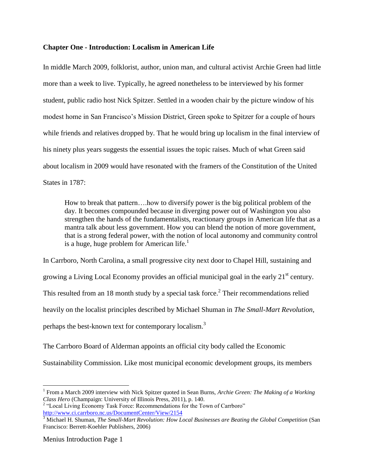## **Chapter One - Introduction: Localism in American Life**

In middle March 2009, folklorist, author, union man, and cultural activist Archie Green had little more than a week to live. Typically, he agreed nonetheless to be interviewed by his former student, public radio host Nick Spitzer. Settled in a wooden chair by the picture window of his modest home in San Francisco's Mission District, Green spoke to Spitzer for a couple of hours while friends and relatives dropped by. That he would bring up localism in the final interview of his ninety plus years suggests the essential issues the topic raises. Much of what Green said about localism in 2009 would have resonated with the framers of the Constitution of the United States in 1787:

How to break that pattern….how to diversify power is the big political problem of the day. It becomes compounded because in diverging power out of Washington you also strengthen the hands of the fundamentalists, reactionary groups in American life that as a mantra talk about less government. How you can blend the notion of more government, that is a strong federal power, with the notion of local autonomy and community control is a huge, huge problem for American life.<sup>1</sup>

In Carrboro, North Carolina, a small progressive city next door to Chapel Hill, sustaining and growing a Living Local Economy provides an official municipal goal in the early  $21<sup>st</sup>$  century. This resulted from an 18 month study by a special task force.<sup>2</sup> Their recommendations relied heavily on the localist principles described by Michael Shuman in *The Small-Mart Revolution*, perhaps the best-known text for contemporary localism.<sup>3</sup>

The Carrboro Board of Alderman appoints an official city body called the Economic Sustainability Commission. Like most municipal economic development groups, its members

<sup>&</sup>lt;sup>1</sup> From a March 2009 interview with Nick Spitzer quoted in Sean Burns, *Archie Green: The Making of a Working Class Hero* (Champaign: University of Illinois Press, 2011), p. 140.

<sup>&</sup>lt;sup>2</sup> "Local Living Economy Task Force: Recommendations for the Town of Carrboro" <http://www.ci.carrboro.nc.us/DocumentCenter/View/2154>

<sup>&</sup>lt;sup>3</sup> Michael H. Shuman, *The Small-Mart Revolution: How Local Businesses are Beating the Global Competition* (San Francisco: Berrett-Koehler Publishers, 2006)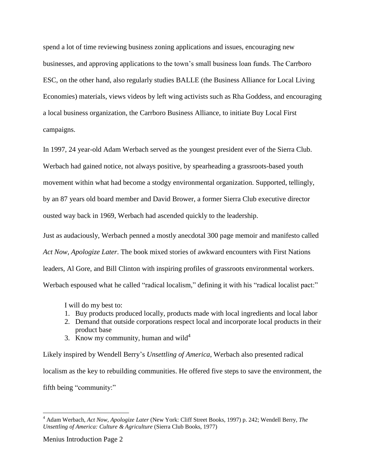spend a lot of time reviewing business zoning applications and issues, encouraging new businesses, and approving applications to the town's small business loan funds. The Carrboro ESC, on the other hand, also regularly studies BALLE (the Business Alliance for Local Living Economies) materials, views videos by left wing activists such as Rha Goddess, and encouraging a local business organization, the Carrboro Business Alliance, to initiate Buy Local First campaigns.

In 1997, 24 year-old Adam Werbach served as the youngest president ever of the Sierra Club. Werbach had gained notice, not always positive, by spearheading a grassroots-based youth movement within what had become a stodgy environmental organization. Supported, tellingly, by an 87 years old board member and David Brower, a former Sierra Club executive director ousted way back in 1969, Werbach had ascended quickly to the leadership.

Just as audaciously, Werbach penned a mostly anecdotal 300 page memoir and manifesto called *Act Now, Apologize Later*. The book mixed stories of awkward encounters with First Nations leaders, Al Gore, and Bill Clinton with inspiring profiles of grassroots environmental workers. Werbach espoused what he called "radical localism," defining it with his "radical localist pact:"

I will do my best to:

- 1. Buy products produced locally, products made with local ingredients and local labor
- 2. Demand that outside corporations respect local and incorporate local products in their product base
- 3. Know my community, human and wild<sup>4</sup>

Likely inspired by Wendell Berry's *Unsettling of America*, Werbach also presented radical localism as the key to rebuilding communities. He offered five steps to save the environment, the fifth being "community:"

<sup>4</sup> Adam Werbach, *Act Now, Apologize Later* (New York: Cliff Street Books, 1997) p. 242; Wendell Berry, *The Unsettling of America: Culture & Agriculture* (Sierra Club Books, 1977)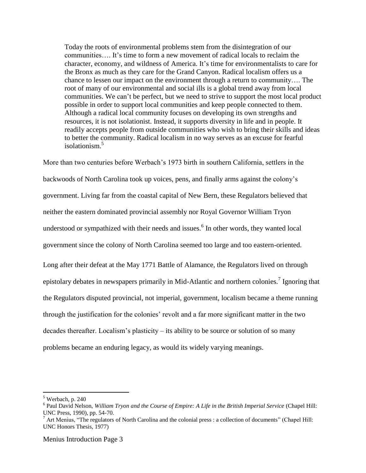Today the roots of environmental problems stem from the disintegration of our communities…. It's time to form a new movement of radical locals to reclaim the character, economy, and wildness of America. It's time for environmentalists to care for the Bronx as much as they care for the Grand Canyon. Radical localism offers us a chance to lessen our impact on the environment through a return to community…. The root of many of our environmental and social ills is a global trend away from local communities. We can't be perfect, but we need to strive to support the most local product possible in order to support local communities and keep people connected to them. Although a radical local community focuses on developing its own strengths and resources, it is not isolationist. Instead, it supports diversity in life and in people. It readily accepts people from outside communities who wish to bring their skills and ideas to better the community. Radical localism in no way serves as an excuse for fearful isolationism.<sup>5</sup>

More than two centuries before Werbach's 1973 birth in southern California, settlers in the backwoods of North Carolina took up voices, pens, and finally arms against the colony's government. Living far from the coastal capital of New Bern, these Regulators believed that neither the eastern dominated provincial assembly nor Royal Governor William Tryon understood or sympathized with their needs and issues. $<sup>6</sup>$  In other words, they wanted local</sup> government since the colony of North Carolina seemed too large and too eastern-oriented. Long after their defeat at the May 1771 Battle of Alamance, the Regulators lived on through epistolary debates in newspapers primarily in Mid-Atlantic and northern colonies.<sup>7</sup> Ignoring that the Regulators disputed provincial, not imperial, government, localism became a theme running

through the justification for the colonies' revolt and a far more significant matter in the two

decades thereafter. Localism's plasticity – its ability to be source or solution of so many

problems became an enduring legacy, as would its widely varying meanings.

 $\overline{a}$  $5$  Werbach, p. 240

<sup>6</sup> Paul David Nelson, *William Tryon and the Course of Empire: A Life in the British Imperial Service* (Chapel Hill: UNC Press, 1990), pp. 54-70.

 $<sup>7</sup>$  Art Menius, "The regulators of North Carolina and the colonial press : a collection of documents" (Chapel Hill:</sup> UNC Honors Thesis, 1977)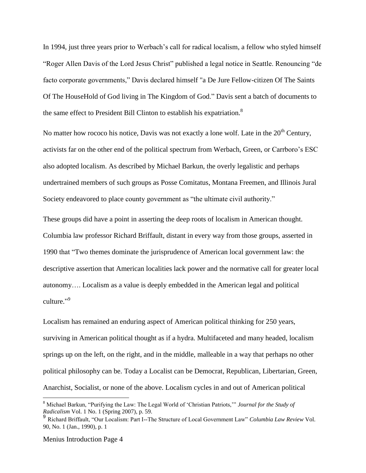In 1994, just three years prior to Werbach's call for radical localism, a fellow who styled himself "Roger Allen Davis of the Lord Jesus Christ" published a legal notice in Seattle. Renouncing "de facto corporate governments," Davis declared himself "a De Jure Fellow-citizen Of The Saints Of The HouseHold of God living in The Kingdom of God." Davis sent a batch of documents to the same effect to President Bill Clinton to establish his expatriation.<sup>8</sup>

No matter how rococo his notice, Davis was not exactly a lone wolf. Late in the  $20<sup>th</sup>$  Century, activists far on the other end of the political spectrum from Werbach, Green, or Carrboro's ESC also adopted localism. As described by Michael Barkun, the overly legalistic and perhaps undertrained members of such groups as Posse Comitatus, Montana Freemen, and Illinois Jural Society endeavored to place county government as "the ultimate civil authority."

These groups did have a point in asserting the deep roots of localism in American thought. Columbia law professor Richard Briffault, distant in every way from those groups, asserted in 1990 that "Two themes dominate the jurisprudence of American local government law: the descriptive assertion that American localities lack power and the normative call for greater local autonomy…. Localism as a value is deeply embedded in the American legal and political culture."<sup>9</sup>

Localism has remained an enduring aspect of American political thinking for 250 years, surviving in American political thought as if a hydra. Multifaceted and many headed, localism springs up on the left, on the right, and in the middle, malleable in a way that perhaps no other political philosophy can be. Today a Localist can be Democrat, Republican, Libertarian, Green, Anarchist, Socialist, or none of the above. Localism cycles in and out of American political

<sup>8</sup> Michael Barkun, "Purifying the Law: The Legal World of 'Christian Patriots,'" *Journal for the Study of Radicalism* Vol. 1 No. 1 (Spring 2007), p. 59.

<sup>9</sup> Richard Briffault, "Our Localism: Part I--The Structure of Local Government Law" *Columbia Law Review* Vol. 90, No. 1 (Jan., 1990), p. 1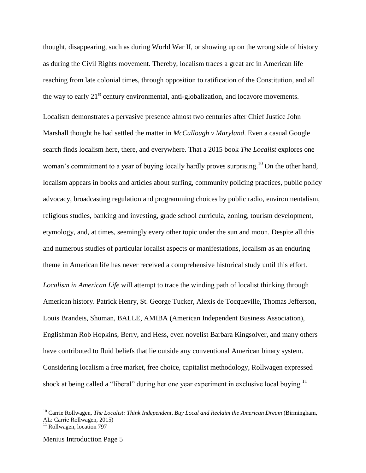thought, disappearing, such as during World War II, or showing up on the wrong side of history as during the Civil Rights movement. Thereby, localism traces a great arc in American life reaching from late colonial times, through opposition to ratification of the Constitution, and all the way to early 21<sup>st</sup> century environmental, anti-globalization, and locavore movements. Localism demonstrates a pervasive presence almost two centuries after Chief Justice John Marshall thought he had settled the matter in *McCullough v Maryland*. Even a casual Google search finds localism here, there, and everywhere. That a 2015 book *The Localist* explores one woman's commitment to a year of buying locally hardly proves surprising.<sup>10</sup> On the other hand, localism appears in books and articles about surfing, community policing practices, public policy advocacy, broadcasting regulation and programming choices by public radio, environmentalism, religious studies, banking and investing, grade school curricula, zoning, tourism development, etymology, and, at times, seemingly every other topic under the sun and moon. Despite all this and numerous studies of particular localist aspects or manifestations, localism as an enduring theme in American life has never received a comprehensive historical study until this effort. *Localism in American Life* will attempt to trace the winding path of localist thinking through American history. Patrick Henry, St. George Tucker, Alexis de Tocqueville, Thomas Jefferson, Louis Brandeis, Shuman, BALLE, AMIBA (American Independent Business Association), Englishman Rob Hopkins, Berry, and Hess, even novelist Barbara Kingsolver, and many others have contributed to fluid beliefs that lie outside any conventional American binary system. Considering localism a free market, free choice, capitalist methodology, Rollwagen expressed shock at being called a "liberal" during her one year experiment in exclusive local buying.<sup>11</sup>

 $\overline{a}$ 

<sup>10</sup> Carrie Rollwagen, *The Localist: Think Independent, Buy Local and Reclaim the American Dream* (Birmingham, AL: Carrie Rollwagen, 2015)

 $11$  Rollwagen, location 797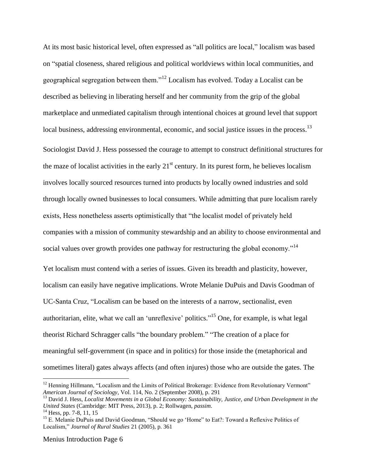At its most basic historical level, often expressed as "all politics are local," localism was based on "spatial closeness, shared religious and political worldviews within local communities, and geographical segregation between them."<sup>12</sup> Localism has evolved. Today a Localist can be described as believing in liberating herself and her community from the grip of the global marketplace and unmediated capitalism through intentional choices at ground level that support local business, addressing environmental, economic, and social justice issues in the process.<sup>13</sup>

Sociologist David J. Hess possessed the courage to attempt to construct definitional structures for the maze of localist activities in the early  $21<sup>st</sup>$  century. In its purest form, he believes localism involves locally sourced resources turned into products by locally owned industries and sold through locally owned businesses to local consumers. While admitting that pure localism rarely exists, Hess nonetheless asserts optimistically that "the localist model of privately held companies with a mission of community stewardship and an ability to choose environmental and social values over growth provides one pathway for restructuring the global economy."<sup>14</sup>

Yet localism must contend with a series of issues. Given its breadth and plasticity, however, localism can easily have negative implications. Wrote Melanie DuPuis and Davis Goodman of UC-Santa Cruz, "Localism can be based on the interests of a narrow, sectionalist, even authoritarian, elite, what we call an 'unreflexive' politics."<sup>15</sup> One, for example, is what legal theorist Richard Schragger calls "the boundary problem." "The creation of a place for meaningful self-government (in space and in politics) for those inside the (metaphorical and sometimes literal) gates always affects (and often injures) those who are outside the gates. The

 $\overline{a}$ 

<sup>&</sup>lt;sup>12</sup> Henning Hillmann, "Localism and the Limits of Political Brokerage: Evidence from Revolutionary Vermont" *American Journal of Sociology*, Vol. 114, No. 2 (September 2008), p. 291

<sup>13</sup> David J. Hess, *Localist Movements in a Global Economy: Sustainability, Justice, and Urban Development in the United States* (Cambridge: MIT Press, 2013), p. 2; Rollwagen, *passim*.

 $14$  Hess, pp. 7-8, 11, 15

<sup>&</sup>lt;sup>15</sup> E. Melanie DuPuis and David Goodman, "Should we go 'Home" to Eat?: Toward a Reflexive Politics of Localism," *Journal of Rural Studies* 21 (2005), p. 361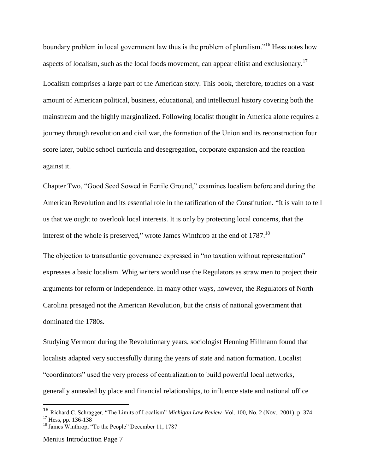boundary problem in local government law thus is the problem of pluralism."<sup>16</sup> Hess notes how aspects of localism, such as the local foods movement, can appear elitist and exclusionary.<sup>17</sup> Localism comprises a large part of the American story. This book, therefore, touches on a vast amount of American political, business, educational, and intellectual history covering both the mainstream and the highly marginalized. Following localist thought in America alone requires a journey through revolution and civil war, the formation of the Union and its reconstruction four score later, public school curricula and desegregation, corporate expansion and the reaction against it.

Chapter Two, "Good Seed Sowed in Fertile Ground," examines localism before and during the American Revolution and its essential role in the ratification of the Constitution. "It is vain to tell us that we ought to overlook local interests. It is only by protecting local concerns, that the interest of the whole is preserved," wrote James Winthrop at the end of 1787.<sup>18</sup>

The objection to transatlantic governance expressed in "no taxation without representation" expresses a basic localism. Whig writers would use the Regulators as straw men to project their arguments for reform or independence. In many other ways, however, the Regulators of North Carolina presaged not the American Revolution, but the crisis of national government that dominated the 1780s.

Studying Vermont during the Revolutionary years, sociologist Henning Hillmann found that localists adapted very successfully during the years of state and nation formation. Localist "coordinators" used the very process of centralization to build powerful local networks, generally annealed by place and financial relationships, to influence state and national office

Menius Introduction Page 7

<sup>16</sup> Richard C. Schragger, "The Limits of Localism" *Michigan Law Review* Vol. 100, No. 2 (Nov., 2001), p. 374  $17$  Hess, pp. 136-138

<sup>&</sup>lt;sup>18</sup> James Winthrop, "To the People" December 11, 1787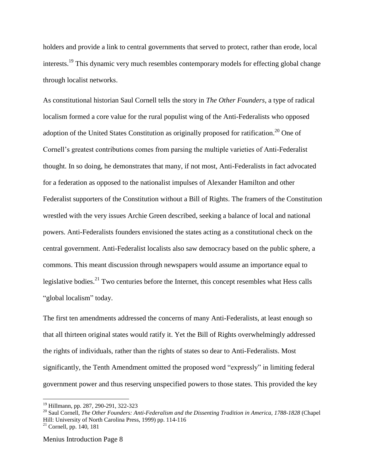holders and provide a link to central governments that served to protect, rather than erode, local interests.<sup>19</sup> This dynamic very much resembles contemporary models for effecting global change through localist networks.

As constitutional historian Saul Cornell tells the story in *The Other Founders*, a type of radical localism formed a core value for the rural populist wing of the Anti-Federalists who opposed adoption of the United States Constitution as originally proposed for ratification.<sup>20</sup> One of Cornell's greatest contributions comes from parsing the multiple varieties of Anti-Federalist thought. In so doing, he demonstrates that many, if not most, Anti-Federalists in fact advocated for a federation as opposed to the nationalist impulses of Alexander Hamilton and other Federalist supporters of the Constitution without a Bill of Rights. The framers of the Constitution wrestled with the very issues Archie Green described, seeking a balance of local and national powers. Anti-Federalists founders envisioned the states acting as a constitutional check on the central government. Anti-Federalist localists also saw democracy based on the public sphere, a commons. This meant discussion through newspapers would assume an importance equal to legislative bodies.<sup>21</sup> Two centuries before the Internet, this concept resembles what Hess calls "global localism" today.

The first ten amendments addressed the concerns of many Anti-Federalists, at least enough so that all thirteen original states would ratify it. Yet the Bill of Rights overwhelmingly addressed the rights of individuals, rather than the rights of states so dear to Anti-Federalists. Most significantly, the Tenth Amendment omitted the proposed word "expressly" in limiting federal government power and thus reserving unspecified powers to those states. This provided the key

<sup>19</sup> Hillmann, pp. 287, 290-291, 322-323

<sup>20</sup> Saul Cornell, *The Other Founders: Anti-Federalism and the Dissenting Tradition in America, 1788-1828* (Chapel Hill: University of North Carolina Press, 1999) pp. 114-116

 $21$  Cornell, pp. 140, 181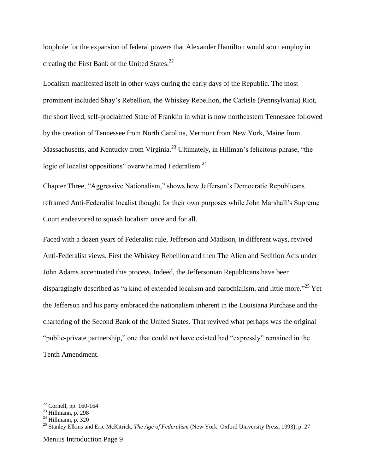loophole for the expansion of federal powers that Alexander Hamilton would soon employ in creating the First Bank of the United States.<sup>22</sup>

Localism manifested itself in other ways during the early days of the Republic. The most prominent included Shay's Rebellion, the Whiskey Rebellion, the Carlisle (Pennsylvania) Riot, the short lived, self-proclaimed State of Franklin in what is now northeastern Tennessee followed by the creation of Tennessee from North Carolina, Vermont from New York, Maine from Massachusetts, and Kentucky from Virginia.<sup>23</sup> Ultimately, in Hillman's felicitous phrase, "the logic of localist oppositions" overwhelmed Federalism.<sup>24</sup>

Chapter Three, "Aggressive Nationalism," shows how Jefferson's Democratic Republicans reframed Anti-Federalist localist thought for their own purposes while John Marshall's Supreme Court endeavored to squash localism once and for all.

Faced with a dozen years of Federalist rule, Jefferson and Madison, in different ways, revived Anti-Federalist views. First the Whiskey Rebellion and then The Alien and Sedition Acts under John Adams accentuated this process. Indeed, the Jeffersonian Republicans have been disparagingly described as "a kind of extended localism and parochialism, and little more."<sup>25</sup> Yet the Jefferson and his party embraced the nationalism inherent in the Louisiana Purchase and the chartering of the Second Bank of the United States. That revived what perhaps was the original "public-private partnership," one that could not have existed had "expressly" remained in the Tenth Amendment.

 $\overline{a}$ 

 $22$  Cornell, pp. 160-164

 $23$  Hillmann, p. 298

 $24$  Hillmann, p. 320

<sup>25</sup> Stanley Elkins and Eric McKitrick, *The Age of Federalism* (New York: Oxford University Press, 1993), p. 27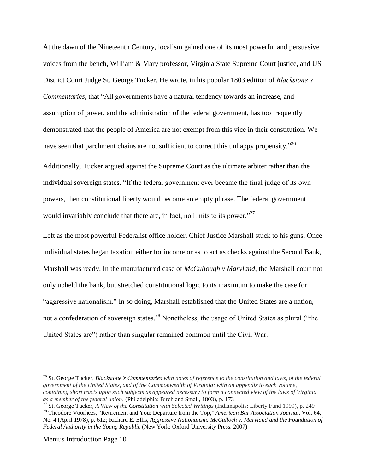At the dawn of the Nineteenth Century, localism gained one of its most powerful and persuasive voices from the bench, William & Mary professor, Virginia State Supreme Court justice, and US District Court Judge St. George Tucker. He wrote, in his popular 1803 edition of *Blackstone's Commentaries*, that "All governments have a natural tendency towards an increase, and assumption of power, and the administration of the federal government, has too frequently demonstrated that the people of America are not exempt from this vice in their constitution. We have seen that parchment chains are not sufficient to correct this unhappy propensity.<sup>26</sup>

Additionally, Tucker argued against the Supreme Court as the ultimate arbiter rather than the individual sovereign states. "If the federal government ever became the final judge of its own powers, then constitutional liberty would become an empty phrase. The federal government would invariably conclude that there are, in fact, no limits to its power."<sup>27</sup>

Left as the most powerful Federalist office holder, Chief Justice Marshall stuck to his guns. Once individual states began taxation either for income or as to act as checks against the Second Bank, Marshall was ready. In the manufactured case of *McCullough v Maryland*, the Marshall court not only upheld the bank, but stretched constitutional logic to its maximum to make the case for "aggressive nationalism." In so doing, Marshall established that the United States are a nation, not a confederation of sovereign states.<sup>28</sup> Nonetheless, the usage of United States as plural ("the United States are") rather than singular remained common until the Civil War.

<sup>26</sup> St. George Tucker, *Blackstone's Commentaries with notes of reference to the constitution and laws, of the federal government of the United States, and of the Commonwealth of Virginia: with an appendix to each volume, containing short tracts upon such subjects as appeared necessary to form a connected view of the laws of Virginia as a member of the federal union*, (Philadelphia: Birch and Small, 1803), p. 173

<sup>27</sup> St. George Tucker, *A View of the Constitution with Selected Writings* (Indianapolis: Liberty Fund 1999), p. 249

<sup>28</sup> Theodore Voorhees, "Retirement and You: Departure from the Top," *American Bar Association Journal*, Vol. 64, No. 4 (April 1978), p. 612; Richard E. Ellis, *Aggressive Nationalism: McCulloch v. Maryland and the Foundation of Federal Authority in the Young Republic* (New York: Oxford University Press, 2007)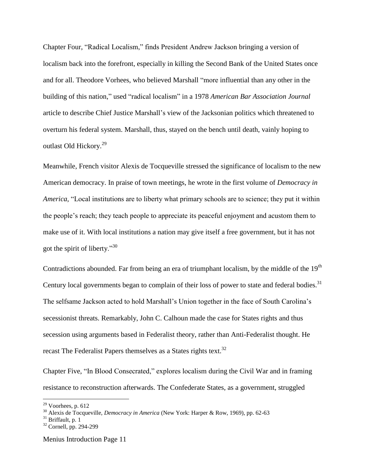Chapter Four, "Radical Localism," finds President Andrew Jackson bringing a version of localism back into the forefront, especially in killing the Second Bank of the United States once and for all. Theodore Vorhees, who believed Marshall "more influential than any other in the building of this nation," used "radical localism" in a 1978 *American Bar Association Journal* article to describe Chief Justice Marshall's view of the Jacksonian politics which threatened to overturn his federal system. Marshall, thus, stayed on the bench until death, vainly hoping to outlast Old Hickory.<sup>29</sup>

Meanwhile, French visitor Alexis de Tocqueville stressed the significance of localism to the new American democracy. In praise of town meetings, he wrote in the first volume of *Democracy in America*, "Local institutions are to liberty what primary schools are to science; they put it within the people's reach; they teach people to appreciate its peaceful enjoyment and acustom them to make use of it. With local institutions a nation may give itself a free government, but it has not got the spirit of liberty."<sup>30</sup>

Contradictions abounded. Far from being an era of triumphant localism, by the middle of the 19<sup>th</sup> Century local governments began to complain of their loss of power to state and federal bodies.<sup>31</sup> The selfsame Jackson acted to hold Marshall's Union together in the face of South Carolina's secessionist threats. Remarkably, John C. Calhoun made the case for States rights and thus secession using arguments based in Federalist theory, rather than Anti-Federalist thought. He recast The Federalist Papers themselves as a States rights text.<sup>32</sup>

Chapter Five, "In Blood Consecrated," explores localism during the Civil War and in framing resistance to reconstruction afterwards. The Confederate States, as a government, struggled

 $29$  Voorhees, p. 612

<sup>30</sup> Alexis de Tocqueville, *Democracy in America* (New York: Harper & Row, 1969), pp. 62-63

 $31$  Briffault, p. 1

<sup>&</sup>lt;sup>32</sup> Cornell, pp. 294-299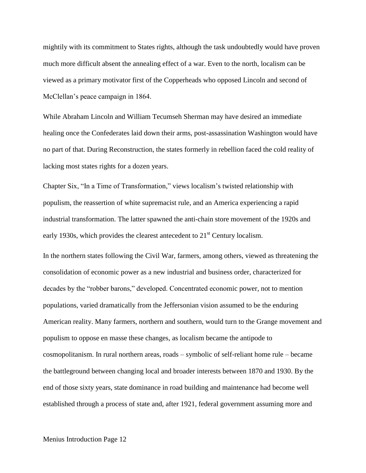mightily with its commitment to States rights, although the task undoubtedly would have proven much more difficult absent the annealing effect of a war. Even to the north, localism can be viewed as a primary motivator first of the Copperheads who opposed Lincoln and second of McClellan's peace campaign in 1864.

While Abraham Lincoln and William Tecumseh Sherman may have desired an immediate healing once the Confederates laid down their arms, post-assassination Washington would have no part of that. During Reconstruction, the states formerly in rebellion faced the cold reality of lacking most states rights for a dozen years.

Chapter Six, "In a Time of Transformation," views localism's twisted relationship with populism, the reassertion of white supremacist rule, and an America experiencing a rapid industrial transformation. The latter spawned the anti-chain store movement of the 1920s and early 1930s, which provides the clearest antecedent to  $21<sup>st</sup>$  Century localism.

In the northern states following the Civil War, farmers, among others, viewed as threatening the consolidation of economic power as a new industrial and business order, characterized for decades by the "robber barons," developed. Concentrated economic power, not to mention populations, varied dramatically from the Jeffersonian vision assumed to be the enduring American reality. Many farmers, northern and southern, would turn to the Grange movement and populism to oppose en masse these changes, as localism became the antipode to cosmopolitanism. In rural northern areas, roads – symbolic of self-reliant home rule – became the battleground between changing local and broader interests between 1870 and 1930. By the end of those sixty years, state dominance in road building and maintenance had become well established through a process of state and, after 1921, federal government assuming more and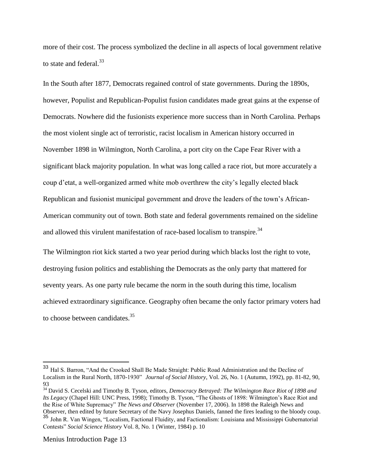more of their cost. The process symbolized the decline in all aspects of local government relative to state and federal.<sup>33</sup>

In the South after 1877, Democrats regained control of state governments. During the 1890s, however, Populist and Republican-Populist fusion candidates made great gains at the expense of Democrats. Nowhere did the fusionists experience more success than in North Carolina. Perhaps the most violent single act of terroristic, racist localism in American history occurred in November 1898 in Wilmington, North Carolina, a port city on the Cape Fear River with a significant black majority population. In what was long called a race riot, but more accurately a coup d'etat, a well-organized armed white mob overthrew the city's legally elected black Republican and fusionist municipal government and drove the leaders of the town's African-American community out of town. Both state and federal governments remained on the sideline and allowed this virulent manifestation of race-based localism to transpire.<sup>34</sup>

The Wilmington riot kick started a two year period during which blacks lost the right to vote, destroying fusion politics and establishing the Democrats as the only party that mattered for seventy years. As one party rule became the norm in the south during this time, localism achieved extraordinary significance. Geography often became the only factor primary voters had to choose between candidates.<sup>35</sup>

Hal S. Barron, "And the Crooked Shall Be Made Straight: Public Road Administration and the Decline of Localism in the Rural North, 1870-1930" *Journal of Social History*, Vol. 26, No. 1 (Autumn, 1992), pp. 81-82, 90, 93

<sup>34</sup> David S. Cecelski and Timothy B. Tyson, editors, *Democracy Betrayed: The Wilmington Race Riot of 1898 and Its Legacy* (Chapel Hill: UNC Press, 1998); Timothy B. Tyson, "The Ghosts of 1898: Wilmington's Race Riot and the Rise of White Supremacy" *The News and Observer* (November 17, 2006). In 1898 the Raleigh News and Observer, then edited by future Secretary of the Navy Josephus Daniels, fanned the fires leading to the bloody coup. <sup>35</sup> John R. Van Wingen, "Localism, Factional Fluidity, and Factionalism: Louisiana and Mississippi Gubernatorial

Contests" *Social Science History* Vol. 8, No. 1 (Winter, 1984) p. 10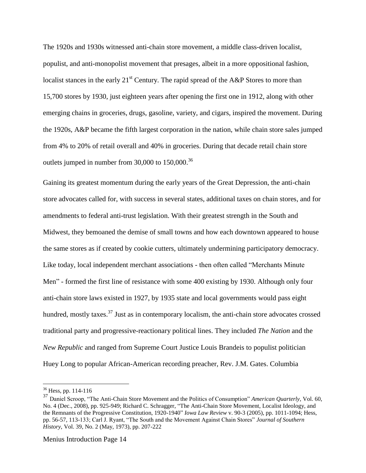The 1920s and 1930s witnessed anti-chain store movement, a middle class-driven localist, populist, and anti-monopolist movement that presages, albeit in a more oppositional fashion, localist stances in the early  $21<sup>st</sup>$  Century. The rapid spread of the A&P Stores to more than 15,700 stores by 1930, just eighteen years after opening the first one in 1912, along with other emerging chains in groceries, drugs, gasoline, variety, and cigars, inspired the movement. During the 1920s, A&P became the fifth largest corporation in the nation, while chain store sales jumped from 4% to 20% of retail overall and 40% in groceries. During that decade retail chain store outlets jumped in number from  $30,000$  to  $150,000$ .<sup>36</sup>

Gaining its greatest momentum during the early years of the Great Depression, the anti-chain store advocates called for, with success in several states, additional taxes on chain stores, and for amendments to federal anti-trust legislation. With their greatest strength in the South and Midwest, they bemoaned the demise of small towns and how each downtown appeared to house the same stores as if created by cookie cutters, ultimately undermining participatory democracy. Like today, local independent merchant associations - then often called "Merchants Minute Men" - formed the first line of resistance with some 400 existing by 1930. Although only four anti-chain store laws existed in 1927, by 1935 state and local governments would pass eight hundred, mostly taxes.<sup>37</sup> Just as in contemporary localism, the anti-chain store advocates crossed traditional party and progressive-reactionary political lines. They included *The Nation* and the *New Republic* and ranged from Supreme Court Justice Louis Brandeis to populist politician Huey Long to popular African-American recording preacher, Rev. J.M. Gates. Columbia

 $36$  Hess, pp. 114-116

<sup>&</sup>lt;sup>37</sup> Daniel Scroop, "The Anti-Chain Store Movement and the Politics of Consumption" *American Quarterly*, Vol. 60, No. 4 (Dec., 2008), pp. 925-949; Richard C. Schragger, "The Anti-Chain Store Movement, Localist Ideology, and the Remnants of the Progressive Constitution, 1920-1940" *Iowa Law Review* v. 90-3 (2005), pp. 1011-1094; Hess, pp. 56-57, 113-133; Carl J. Ryant, "The South and the Movement Against Chain Stores" *Journal of Southern History*, Vol. 39, No. 2 (May, 1973), pp. 207-222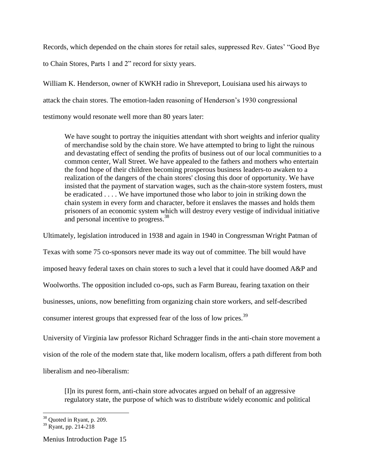Records, which depended on the chain stores for retail sales, suppressed Rev. Gates' "Good Bye

to Chain Stores, Parts 1 and 2" record for sixty years.

William K. Henderson, owner of KWKH radio in Shreveport, Louisiana used his airways to attack the chain stores. The emotion-laden reasoning of Henderson's 1930 congressional testimony would resonate well more than 80 years later:

We have sought to portray the iniquities attendant with short weights and inferior quality of merchandise sold by the chain store. We have attempted to bring to light the ruinous and devastating effect of sending the profits of business out of our local communities to a common center, Wall Street. We have appealed to the fathers and mothers who entertain the fond hope of their children becoming prosperous business leaders-to awaken to a realization of the dangers of the chain stores' closing this door of opportunity. We have insisted that the payment of starvation wages, such as the chain-store system fosters, must be eradicated . . . . We have importuned those who labor to join in striking down the chain system in every form and character, before it enslaves the masses and holds them prisoners of an economic system which will destroy every vestige of individual initiative and personal incentive to progress.<sup>38</sup>

Ultimately, legislation introduced in 1938 and again in 1940 in Congressman Wright Patman of

Texas with some 75 co-sponsors never made its way out of committee. The bill would have

imposed heavy federal taxes on chain stores to such a level that it could have doomed A&P and

Woolworths. The opposition included co-ops, such as Farm Bureau, fearing taxation on their

businesses, unions, now benefitting from organizing chain store workers, and self-described

consumer interest groups that expressed fear of the loss of low prices.<sup>39</sup>

University of Virginia law professor Richard Schragger finds in the anti-chain store movement a vision of the role of the modern state that, like modern localism, offers a path different from both liberalism and neo-liberalism:

[I]n its purest form, anti-chain store advocates argued on behalf of an aggressive regulatory state, the purpose of which was to distribute widely economic and political

 $\overline{a}$ 

 $38$  Quoted in Ryant, p. 209.

<sup>39</sup> Ryant, pp. 214-218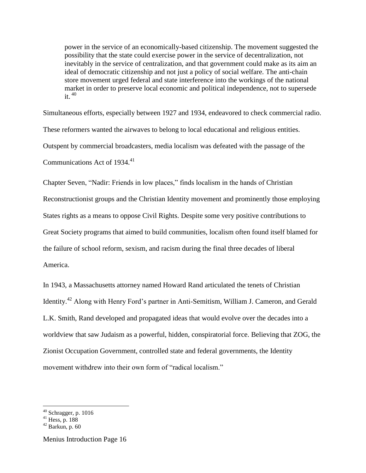power in the service of an economically-based citizenship. The movement suggested the possibility that the state could exercise power in the service of decentralization, not inevitably in the service of centralization, and that government could make as its aim an ideal of democratic citizenship and not just a policy of social welfare. The anti-chain store movement urged federal and state interference into the workings of the national market in order to preserve local economic and political independence, not to supersede it.  $40$ 

Simultaneous efforts, especially between 1927 and 1934, endeavored to check commercial radio. These reformers wanted the airwaves to belong to local educational and religious entities. Outspent by commercial broadcasters, media localism was defeated with the passage of the Communications Act of 1934.<sup>41</sup>

Chapter Seven, "Nadir: Friends in low places," finds localism in the hands of Christian Reconstructionist groups and the Christian Identity movement and prominently those employing States rights as a means to oppose Civil Rights. Despite some very positive contributions to Great Society programs that aimed to build communities, localism often found itself blamed for the failure of school reform, sexism, and racism during the final three decades of liberal America.

In 1943, a Massachusetts attorney named Howard Rand articulated the tenets of Christian Identity.<sup>42</sup> Along with Henry Ford's partner in Anti-Semitism, William J. Cameron, and Gerald L.K. Smith, Rand developed and propagated ideas that would evolve over the decades into a worldview that saw Judaism as a powerful, hidden, conspiratorial force. Believing that ZOG, the Zionist Occupation Government, controlled state and federal governments, the Identity movement withdrew into their own form of "radical localism."

 $40$  Schragger, p. 1016

 $41$  Hess, p. 188

 $42$  Barkun, p. 60

Menius Introduction Page 16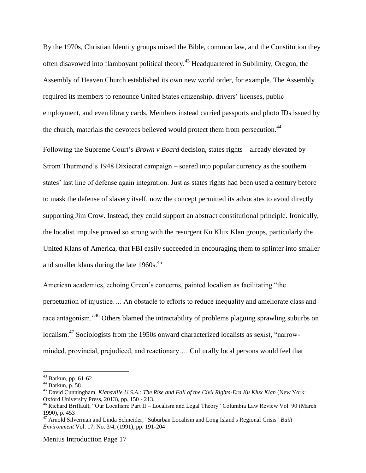By the 1970s, Christian Identity groups mixed the Bible, common law, and the Constitution they often disavowed into flamboyant political theory.<sup>43</sup> Headquartered in Sublimity, Oregon, the Assembly of Heaven Church established its own new world order, for example. The Assembly required its members to renounce United States citizenship, drivers' licenses, public employment, and even library cards. Members instead carried passports and photo IDs issued by the church, materials the devotees believed would protect them from persecution.<sup>44</sup>

Following the Supreme Court's *Brown v Board* decision, states rights – already elevated by Strom Thurmond's 1948 Dixiecrat campaign – soared into popular currency as the southern states' last line of defense again integration. Just as states rights had been used a century before to mask the defense of slavery itself, now the concept permitted its advocates to avoid directly supporting Jim Crow. Instead, they could support an abstract constitutional principle. Ironically, the localist impulse proved so strong with the resurgent Ku Klux Klan groups, particularly the United Klans of America, that FBI easily succeeded in encouraging them to splinter into smaller and smaller klans during the late  $1960s^{45}$ .

American academics, echoing Green's concerns, painted localism as facilitating "the perpetuation of injustice…. An obstacle to efforts to reduce inequality and ameliorate class and race antagonism."<sup>46</sup> Others blamed the intractability of problems plaguing sprawling suburbs on localism.<sup>47</sup> Sociologists from the 1950s onward characterized localists as sexist, "narrowminded, provincial, prejudiced, and reactionary…. Culturally local persons would feel that

 $\overline{a}$ 

 $43$  Barkun, pp. 61-62

<sup>44</sup> Barkun, p. 58

<sup>45</sup> David Cunningham, *Klansville U.S.A.: The Rise and Fall of the Civil Rights-Era Ku Klux Klan* (New York: Oxford University Press, 2013), pp. 150 - 213.

<sup>46</sup> Richard Briffault, "Our Localism: Part II – Localism and Legal Theory" Columbia Law Review Vol. 90 (March 1990), p. 453

<sup>47</sup> Arnold Silverman and Linda Schneider, "Suburban Localism and Long Island's Regional Crisis" *Built Environment* Vol. 17, No. 3/4, (1991), pp. 191-204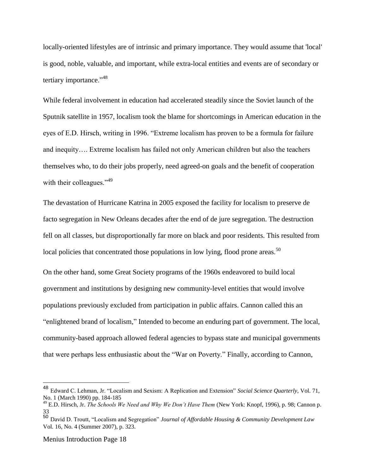locally-oriented lifestyles are of intrinsic and primary importance. They would assume that 'local' is good, noble, valuable, and important, while extra-local entities and events are of secondary or tertiary importance."<sup>48</sup>

While federal involvement in education had accelerated steadily since the Soviet launch of the Sputnik satellite in 1957, localism took the blame for shortcomings in American education in the eyes of E.D. Hirsch, writing in 1996. "Extreme localism has proven to be a formula for failure and inequity…. Extreme localism has failed not only American children but also the teachers themselves who, to do their jobs properly, need agreed-on goals and the benefit of cooperation with their colleagues."<sup>49</sup>

The devastation of Hurricane Katrina in 2005 exposed the facility for localism to preserve de facto segregation in New Orleans decades after the end of de jure segregation. The destruction fell on all classes, but disproportionally far more on black and poor residents. This resulted from local policies that concentrated those populations in low lying, flood prone areas.<sup>50</sup>

On the other hand, some Great Society programs of the 1960s endeavored to build local government and institutions by designing new community-level entities that would involve populations previously excluded from participation in public affairs. Cannon called this an "enlightened brand of localism," Intended to become an enduring part of government. The local, community-based approach allowed federal agencies to bypass state and municipal governments that were perhaps less enthusiastic about the "War on Poverty." Finally, according to Cannon,

<sup>48</sup> Edward C. Lehman, Jr. "Localism and Sexism: A Replication and Extension" *Social Science Quarterly*, Vol. 71, No. 1 (March 1990) pp. 184-185

<sup>49</sup> E.D. Hirsch, Jr. *The Schools We Need and Why We Don't Have Them* (New York: Knopf, 1996), p. 98; Cannon p. 33

<sup>50</sup> David D. Troutt, "Localism and Segregation" *Journal of Affordable Housing & Community Development Law* Vol. 16, No. 4 (Summer 2007), p. 323.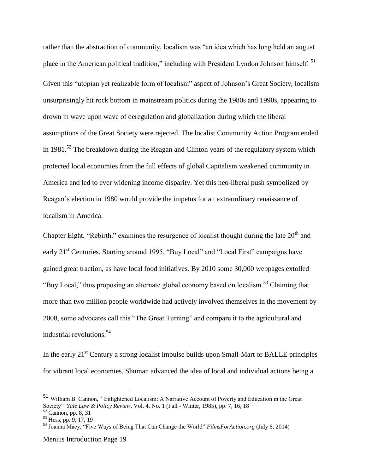rather than the abstraction of community, localism was "an idea which has long held an august place in the American political tradition," including with President Lyndon Johnson himself.<sup>51</sup> Given this "utopian yet realizable form of localism" aspect of Johnson's Great Society, localism unsurprisingly hit rock bottom in mainstream politics during the 1980s and 1990s, appearing to drown in wave upon wave of deregulation and globalization during which the liberal assumptions of the Great Society were rejected. The localist Community Action Program ended in 1981.<sup>52</sup> The breakdown during the Reagan and Clinton years of the regulatory system which protected local economies from the full effects of global Capitalism weakened community in America and led to ever widening income disparity. Yet this neo-liberal push symbolized by Reagan's election in 1980 would provide the impetus for an extraordinary renaissance of localism in America.

Chapter Eight, "Rebirth," examines the resurgence of localist thought during the late  $20<sup>th</sup>$  and early 21<sup>st</sup> Centuries. Starting around 1995, "Buy Local" and "Local First" campaigns have gained great traction, as have local food initiatives. By 2010 some 30,000 webpages extolled "Buy Local," thus proposing an alternate global economy based on localism.<sup>53</sup> Claiming that more than two million people worldwide had actively involved themselves in the movement by 2008, some advocates call this "The Great Turning" and compare it to the agricultural and industrial revolutions.<sup>54</sup>

In the early  $21<sup>st</sup>$  Century a strong localist impulse builds upon Small-Mart or BALLE principles for vibrant local economies. Shuman advanced the idea of local and individual actions being a

 $\overline{a}$ 

<sup>51</sup> William B. Cannon, " Enlightened Localism: A Narrative Account of Poverty and Education in the Great Society" *Yale Law & Policy Review*, Vol. 4, No. 1 (Fall - Winter, 1985), pp. 7, 16, 18  $52$  Cannon, pp. 8, 31

<sup>&</sup>lt;sup>53</sup> Hess, pp. 9, 17, 19

<sup>54</sup> Joanna Macy, "Five Ways of Being That Can Change the World" *FilmsForAction.org* (July 6, 2014)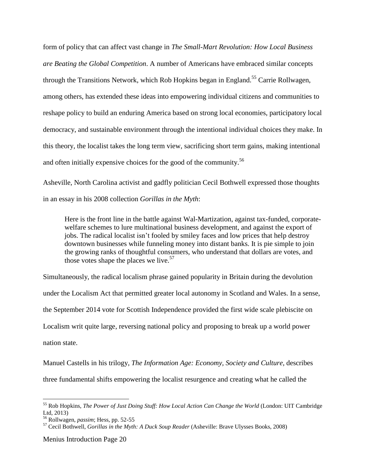form of policy that can affect vast change in *The Small-Mart Revolution: How Local Business are Beating the Global Competition*. A number of Americans have embraced similar concepts through the Transitions Network, which Rob Hopkins began in England.<sup>55</sup> Carrie Rollwagen, among others, has extended these ideas into empowering individual citizens and communities to reshape policy to build an enduring America based on strong local economies, participatory local democracy, and sustainable environment through the intentional individual choices they make. In this theory, the localist takes the long term view, sacrificing short term gains, making intentional and often initially expensive choices for the good of the community.<sup>56</sup>

Asheville, North Carolina activist and gadfly politician Cecil Bothwell expressed those thoughts in an essay in his 2008 collection *Gorillas in the Myth*:

Here is the front line in the battle against Wal-Martization, against tax-funded, corporatewelfare schemes to lure multinational business development, and against the export of jobs. The radical localist isn't fooled by smiley faces and low prices that help destroy downtown businesses while funneling money into distant banks. It is pie simple to join the growing ranks of thoughtful consumers, who understand that dollars are votes, and those votes shape the places we live.  $57$ 

Simultaneously, the radical localism phrase gained popularity in Britain during the devolution under the [Localism](http://www.respublica.org.uk/item/Localism-2-0-Empowering-the-Civic-State) Act that permitted greater local autonomy in Scotland and Wales. In a sense, the September 2014 vote for Scottish Independence provided the first wide scale plebiscite on Localism writ quite large, reversing national policy and proposing to break up a world power nation state.

Manuel Castells in his trilogy, *The Information Age: Economy, Society and Culture,* describes three fundamental shifts empowering the localist resurgence and creating what he called the

Menius Introduction Page 20

<sup>55</sup> Rob Hopkins, *The Power of Just Doing Stuff: How Local Action Can Change the World* (London: UIT Cambridge Ltd, 2013)

<sup>56</sup> Rollwagen, *passim*; Hess, pp. 52-55

<sup>57</sup> Cecil Bothwell, *Gorillas in the Myth: A Duck Soup Reader* (Asheville: Brave Ulysses Books, 2008)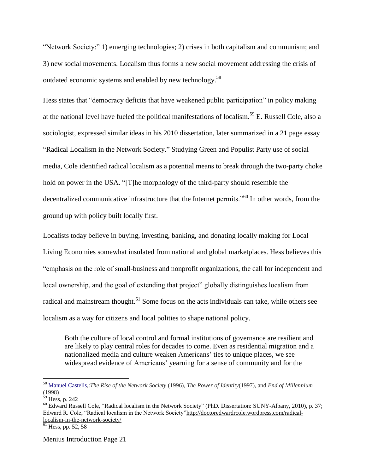"Network Society:" 1) emerging technologies; 2) crises in both capitalism and communism; and 3) new social movements. Localism thus forms a new social movement addressing the crisis of outdated economic systems and enabled by new technology.<sup>58</sup>

Hess states that "democracy deficits that have weakened public participation" in policy making at the national level have fueled the political manifestations of localism.<sup>59</sup> E. Russell Cole, also a sociologist, expressed similar ideas in his 2010 [dissertation,](http://gradworks.umi.com/34/27/3427006.html) later summarized in a 21 page essay "Radical [Localism](http://doctoredwardrcole.wordpress.com/radical-localism-in-the-network-society/) in the Network Society." Studying Green and Populist Party use of social media, Cole identified radical localism as a potential means to break through the two-party choke hold on power in the USA. "[T]he morphology of the third-party should resemble the decentralized communicative infrastructure that the Internet permits."<sup>60</sup> In other words, from the ground up with policy built locally first.

Localists today believe in buying, investing, banking, and donating locally making for Local Living Economies somewhat insulated from national and global marketplaces. Hess believes this "emphasis on the role of small-business and nonprofit organizations, the call for independent and local ownership, and the goal of extending that project" globally distinguishes localism from radical and mainstream thought.<sup>61</sup> Some focus on the acts individuals can take, while others see localism as a way for citizens and local polities to shape national policy.

Both the culture of local control and formal institutions of governance are resilient and are likely to play central roles for decades to come. Even as residential migration and a nationalized media and culture weaken Americans' ties to unique places, we see widespread evidence of Americans' yearning for a sense of community and for the

 $\overline{a}$ 

<sup>58</sup> [Manuel Castells,](http://en.wikipedia.org/wiki/Manuel_Castells):*The Rise of the Network Society* (1996), *The Power of Identity*(1997), and *End of Millennium* (1998)

<sup>59</sup> Hess, p. 242

<sup>&</sup>lt;sup>60</sup> Edward Russell Cole, "Radical localism in the [Network](http://search.proquest.com/docview/763624054) Society" (PhD. Dissertation: SUNY-Albany, 2010), p. 37; Edward R. Cole, "Radical localism in the Network Society["http://doctoredwardrcole.wordpress.com/radical](http://doctoredwardrcole.wordpress.com/radical-localism-in-the-network-society/)[localism-in-the-network-society/](http://doctoredwardrcole.wordpress.com/radical-localism-in-the-network-society/)

 $<sup>61</sup>$  Hess, pp. 52, 58</sup>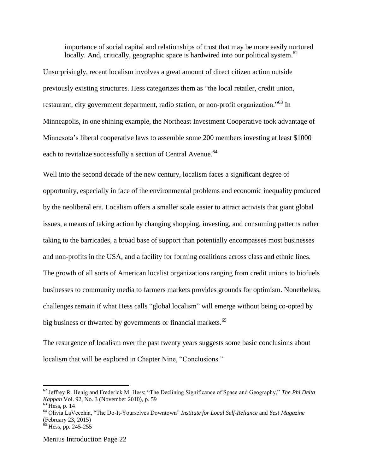importance of social capital and relationships of trust that may be more easily nurtured locally. And, critically, geographic space is hardwired into our political system.<sup>62</sup>

Unsurprisingly, recent localism involves a great amount of direct citizen action outside previously existing structures. Hess categorizes them as "the local retailer, credit union, restaurant, city government department, radio station, or non-profit organization."<sup>63</sup> In Minneapolis, in one shining example, the Northeast Investment Cooperative took advantage of Minnesota's liberal cooperative laws to assemble some 200 members investing at least \$1000 each to revitalize successfully a section of Central Avenue.<sup>64</sup>

Well into the second decade of the new century, localism faces a significant degree of opportunity, especially in face of the environmental problems and economic inequality produced by the neoliberal era. Localism offers a smaller scale easier to attract activists that giant global issues, a means of taking action by changing shopping, investing, and consuming patterns rather taking to the barricades, a broad base of support than potentially encompasses most businesses and non-profits in the USA, and a facility for forming coalitions across class and ethnic lines. The growth of all sorts of American localist organizations ranging from credit unions to biofuels businesses to community media to farmers markets provides grounds for optimism. Nonetheless, challenges remain if what Hess calls "global localism" will emerge without being co-opted by big business or thwarted by governments or financial markets.<sup>65</sup>

The resurgence of localism over the past twenty years suggests some basic conclusions about localism that will be explored in Chapter Nine, "Conclusions."

<sup>62</sup> Jeffrey R. Henig and Frederick M. Hess; "The Declining Significance of Space and Geography," *The Phi Delta Kappan* Vol. 92, No. 3 (November 2010), p. 59

 $63$  Hess, p. 14

<sup>64</sup> Olivia LaVecchia, "The Do-It-Yourselves Downtown" *Institute for Local Self-Reliance* and *Yes! Magazine* (February 23, 2015)

 $<sup>65</sup>$  Hess, pp. 245-255</sup>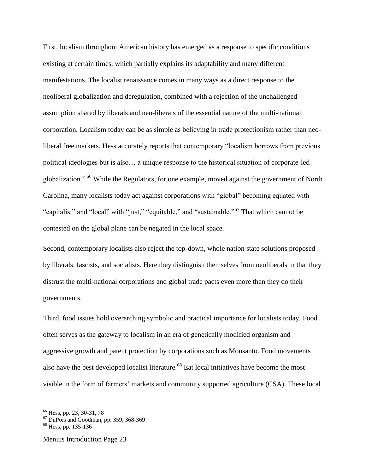First, localism throughout American history has emerged as a response to specific conditions existing at certain times, which partially explains its adaptability and many different manifestations. The localist renaissance comes in many ways as a direct response to the neoliberal globalization and deregulation, combined with a rejection of the unchallenged assumption shared by liberals and neo-liberals of the essential nature of the multi-national corporation. Localism today can be as simple as believing in trade protectionism rather than neoliberal free markets. Hess accurately reports that contemporary "localism borrows from previous political ideologies but is also… a unique response to the historical situation of corporate-led globalization." <sup>66</sup> While the Regulators, for one example, moved against the government of North Carolina, many localists today act against corporations with "global" becoming equated with "capitalist" and "local" with "just," "equitable," and "sustainable."<sup>67</sup> That which cannot be contested on the global plane can be negated in the local space.

Second, contemporary localists also reject the top-down, whole nation state solutions proposed by liberals, fascists, and socialists. Here they distinguish themselves from neoliberals in that they distrust the multi-national corporations and global trade pacts even more than they do their governments.

Third, food issues hold overarching symbolic and practical importance for localists today. Food often serves as the gateway to localism in an era of genetically modified organism and aggressive growth and patent protection by corporations such as Monsanto. Food movements also have the best developed localist literature.<sup>68</sup> Eat local initiatives have become the most visible in the form of farmers' markets and community supported agriculture (CSA). These local

<sup>&</sup>lt;sup>66</sup> Hess, pp. 23, 30-31, 78

 $67$  DuPois and Goodman, pp. 359, 368-369

 $68$  Hess, pp. 135-136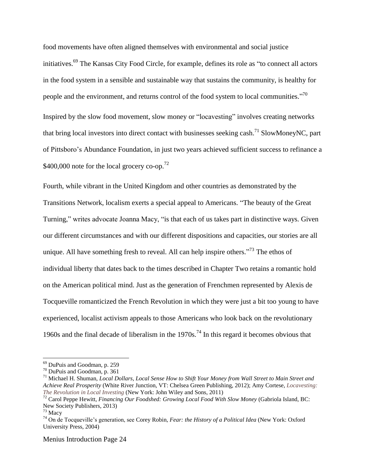food movements have often aligned themselves with environmental and social justice initiatives.<sup>69</sup> The Kansas City Food Circle, for example, defines its role as "to connect all actors" in the food system in a sensible and sustainable way that sustains the community, is healthy for people and the environment, and returns control of the food system to local communities."<sup>70</sup> Inspired by the slow food movement, slow money or "locavesting" involves creating networks that bring local investors into direct contact with businesses seeking cash.<sup>71</sup> SlowMoneyNC, part of Pittsboro's Abundance Foundation, in just two years achieved sufficient success to refinance a  $$400,000$  note for the local grocery co-op.<sup>72</sup>

Fourth, while vibrant in the United Kingdom and other countries as demonstrated by the Transitions Network, localism exerts a special appeal to Americans. "The beauty of the Great Turning," writes advocate Joanna Macy, "is that each of us takes part in distinctive ways. Given our different circumstances and with our different dispositions and capacities, our stories are all unique. All have something fresh to reveal. All can help inspire others.<sup> $73$ </sup> The ethos of individual liberty that dates back to the times described in Chapter Two retains a romantic hold on the American political mind. Just as the generation of Frenchmen represented by Alexis de Tocqueville romanticized the French Revolution in which they were just a bit too young to have experienced, localist activism appeals to those Americans who look back on the revolutionary 1960s and the final decade of liberalism in the  $1970s$ .<sup>74</sup> In this regard it becomes obvious that

 $\overline{a}$ 

<sup>69</sup> DuPuis and Goodman, p. 259

<sup>70</sup> DuPuis and Goodman, p. 361

<sup>71</sup> Michael H. Shuman, *Local Dollars, Local Sense How to Shift Your Money from Wall Street to Main Street and Achieve Real Prosperity* (White River Junction, VT: Chelsea Green Publishing, 2012); Amy Cortese, *[Locavesting:](http://www.locavesting.com/Locavesting_homepage.html) The [Revolution](http://www.locavesting.com/Locavesting_homepage.html) in Local Investing* (New York: John Wiley and Sons, 2011)

<sup>72</sup> Carol Peppe Hewitt, *Financing Our Foodshed: Growing Local Food With Slow Money* (Gabriola Island, BC: New Society Publishers, 2013)

<sup>73</sup> Macy

<sup>74</sup> On de Tocqueville's generation, see Corey Robin, *Fear: the History of a Political Idea* (New York: Oxford University Press, 2004)